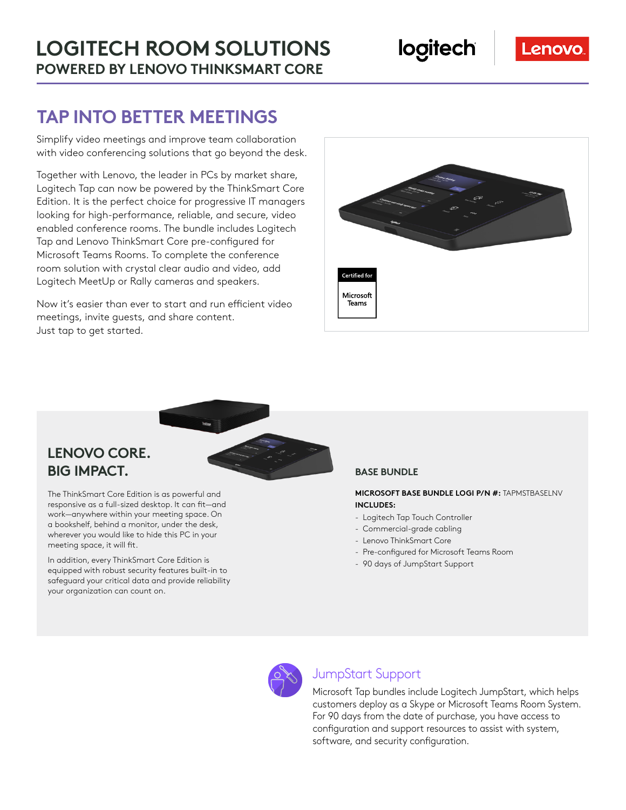# **TAP INTO BETTER MEETINGS**

Simplify video meetings and improve team collaboration with video conferencing solutions that go beyond the desk.

Together with Lenovo, the leader in PCs by market share, Logitech Tap can now be powered by the ThinkSmart Core Edition. It is the perfect choice for progressive IT managers looking for high-performance, reliable, and secure, video enabled conference rooms. The bundle includes Logitech Tap and Lenovo ThinkSmart Core pre-configured for Microsoft Teams Rooms. To complete the conference room solution with crystal clear audio and video, add Logitech MeetUp or Rally cameras and speakers.

Now it's easier than ever to start and run efficient video meetings, invite guests, and share content. Just tap to get started.



### **LENOVO CORE. BIG IMPACT.** BASE BUNDLE

The ThinkSmart Core Edition is as powerful and responsive as a full-sized desktop. It can fit—and work—anywhere within your meeting space. On a bookshelf, behind a monitor, under the desk, wherever you would like to hide this PC in your meeting space, it will fit.

In addition, every ThinkSmart Core Edition is equipped with robust security features built-in to safeguard your critical data and provide reliability your organization can count on.

**MICROSOFT BASE BUNDLE LOGI P/N #:** TAPMSTBASELNV **INCLUDES:**

- Logitech Tap Touch Controller
- Commercial-grade cabling
- Lenovo ThinkSmart Core
- Pre-configured for Microsoft Teams Room
- 90 days of JumpStart Support



#### JumpStart Support

Microsoft Tap bundles include Logitech JumpStart, which helps customers deploy as a Skype or Microsoft Teams Room System. For 90 days from the date of purchase, you have access to configuration and support resources to assist with system, software, and security configuration.